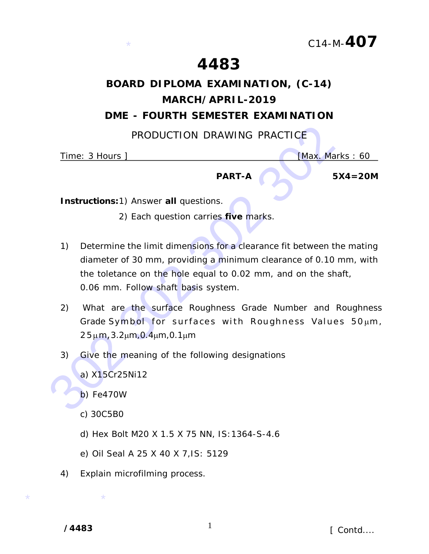## **4483**

# **BOARD DIPLOMA EXAMINATION, (C-14) MARCH/APRIL-2019**

### **DME - FOURTH SEMESTER EXAMINATION**

PRODUCTION DRAWING PRACTICE

Time: 3 Hours ] **[Max. Marks : 60] [Max. Marks : 60** 

**PART-A 5X4=20M**

*Instructions:*1) Answer **all** questions.

\*

- 2) Each question carries **five** marks.
- PRODUCTION DRAWING PRACTICE<br>
Time: 3 Hours |<br>
PART-A<br>
5X<br>
Instructions:1) Answer all questions.<br>
2) Each question carries five marks.<br>
2) Determine the limit dimensions for a clearance fit between the<br>
diameter of 30 mm, p 1) Determine the limit dimensions for a clearance fit between the mating diameter of 30 mm, providing a minimum clearance of 0.10 mm, with the toletance on the hole equal to 0.02 mm, and on the shaft, 0.06 mm. Follow shaft basis system.
	- 2) What are the surface Roughness Grade Number and Roughness Grade Symbol for surfaces with Roughness Values 50um,  $25 \mu m, 3.2 \mu m, 0.4 \mu m, 0.1 \mu m$
	- 3) Give the meaning of the following designations
		- a) X15Cr25Ni12

b) Fe470W

- c) 30C5B0
- d) Hex Bolt M20 X 1.5 X 75 NN, IS:1364-S-4.6
- e) Oil Seal A 25 X 40 X 7,IS: 5129
- 4) Explain microfilming process.

**/4483** 1

 $\star$   $\star$ 

*[ Contd....*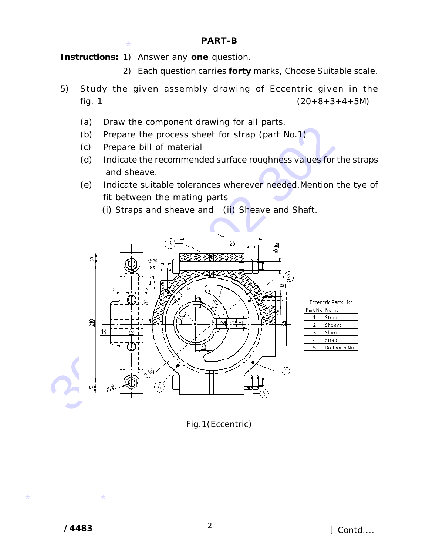#### **PART-B**

\* *Instructions:* 1) Answer any **one** question.

- 2) Each question carries **forty** marks, Choose Suitable scale.
- 5) Study the given assembly drawing of Eccentric given in the fig. 1  $(20+8+3+4+5M)$ 
	- (a) Draw the component drawing for all parts.
	- (b) Prepare the process sheet for strap (part No.1)
	- (c) Prepare bill of material
	- (d) Indicate the recommended surface roughness values for the straps and sheave.
	- (e) Indicate suitable tolerances wherever needed.Mention the tye of fit between the mating parts
		- (i) Straps and sheave and (ii) Sheave and Shaft.



| Eccentric Parts List |               |
|----------------------|---------------|
| Part No Name         |               |
|                      | Strap         |
| 2                    | Sheave        |
| 3                    | Shim          |
| л                    | Strap         |
| ς                    | Bolt with Nut |
|                      |               |

Fig.1(Eccentric)

 $\star$   $\star$